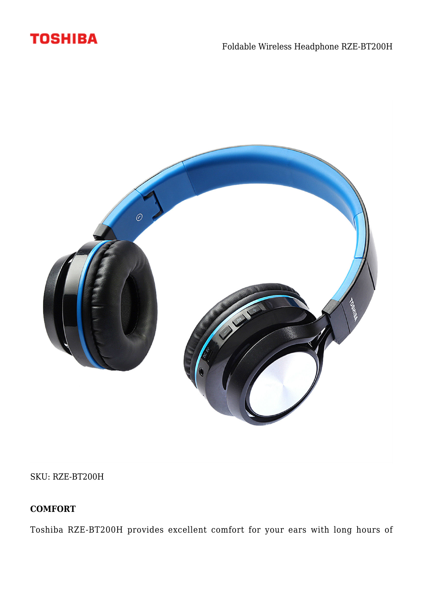



SKU: RZE-BT200H

# **COMFORT**

Toshiba RZE-BT200H provides excellent comfort for your ears with long hours of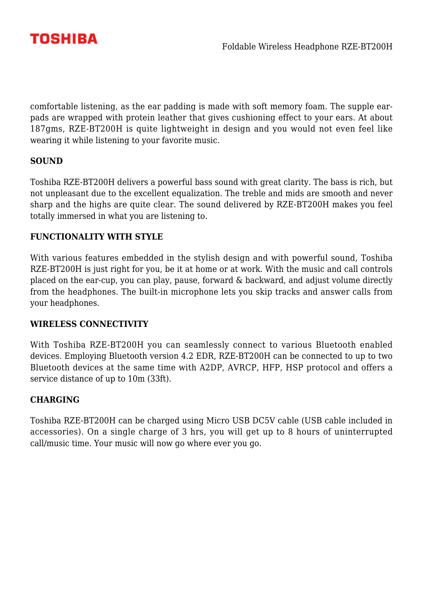

comfortable listening, as the ear padding is made with soft memory foam. The supple earpads are wrapped with protein leather that gives cushioning effect to your ears. At about 187gms, RZE-BT200H is quite lightweight in design and you would not even feel like wearing it while listening to your favorite music.

### **SOUND**

Toshiba RZE-BT200H delivers a powerful bass sound with great clarity. The bass is rich, but not unpleasant due to the excellent equalization. The treble and mids are smooth and never sharp and the highs are quite clear. The sound delivered by RZE-BT200H makes you feel totally immersed in what you are listening to.

### **FUNCTIONALITY WITH STYLE**

With various features embedded in the stylish design and with powerful sound, Toshiba RZE-BT200H is just right for you, be it at home or at work. With the music and call controls placed on the ear-cup, you can play, pause, forward & backward, and adjust volume directly from the headphones. The built-in microphone lets you skip tracks and answer calls from your headphones.

#### **WIRELESS CONNECTIVITY**

With Toshiba RZE-BT200H you can seamlessly connect to various Bluetooth enabled devices. Employing Bluetooth version 4.2 EDR, RZE-BT200H can be connected to up to two Bluetooth devices at the same time with A2DP, AVRCP, HFP, HSP protocol and offers a service distance of up to 10m (33ft).

#### **CHARGING**

Toshiba RZE-BT200H can be charged using Micro USB DC5V cable (USB cable included in accessories). On a single charge of 3 hrs, you will get up to 8 hours of uninterrupted call/music time. Your music will now go where ever you go.